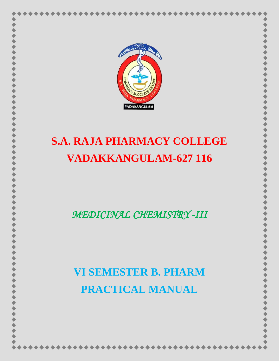

# **S.A. RAJA PHARMACY COLLEGE VADAKKANGULAM-627 116**

*MEDICINAL CHEMISTRY -III* 

# **VI SEMESTER B. PHARM PRACTICAL MANUAL**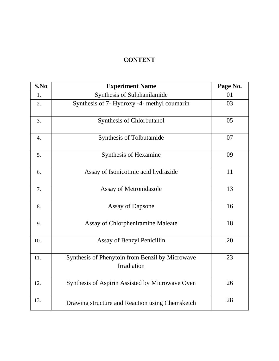## **CONTENT**

| S.No             | <b>Experiment Name</b>                                                | Page No. |
|------------------|-----------------------------------------------------------------------|----------|
| 1.               | Synthesis of Sulphanilamide                                           | 01       |
| 2.               | Synthesis of 7- Hydroxy -4- methyl coumarin                           | 03       |
| 3.               | Synthesis of Chlorbutanol                                             | 05       |
| $\overline{4}$ . | Synthesis of Tolbutamide                                              | 07       |
| 5.               | Synthesis of Hexamine                                                 | 09       |
| 6.               | Assay of Isonicotinic acid hydrazide                                  | 11       |
| 7.               | Assay of Metronidazole                                                | 13       |
| 8.               | <b>Assay of Dapsone</b>                                               | 16       |
| 9.               | Assay of Chlorpheniramine Maleate                                     | 18       |
| 10.              | Assay of Benzyl Penicillin                                            | 20       |
| 11.              | Synthesis of Phenytoin from Benzil by Microwave<br><b>Irradiation</b> | 23       |
| 12.              | Synthesis of Aspirin Assisted by Microwave Oven                       | 26       |
| 13.              | Drawing structure and Reaction using Chemsketch                       | 28       |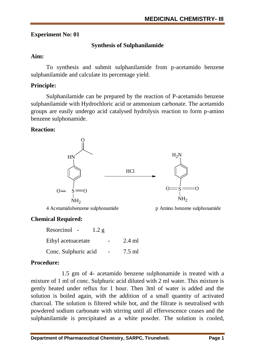# **Synthesis of Sulphanilamide**

## **Aim:**

To synthesis and submit sulphanilamide from p-acetamido benzene sulphanilamide and calculate its percentage yield.

# **Principle:**

Sulphanilamide can be prepared by the reaction of P-acetamido benzene sulphanilamide with Hydrochloric acid or ammonium carbonate. The acetamido groups are easily undergo acid catalysed hydrolysis reaction to form p-amino benzene sulphonamide.

## **Reaction:**



4 Acetamidobenzene sulphonamide p Amino benzene sulphonamide



# **Chemical Required:**

| Resorcinol<br>$\sim$ $ \sim$ | 1.2 g |          |
|------------------------------|-------|----------|
| Ethyl acetoacetate           |       | $2.4$ ml |
| Conc. Sulphuric acid         |       | $7.5$ ml |

# **Procedure:**

1.5 gm of 4- acetamido benzene sulphonamide is treated with a mixture of 1 ml of conc. Sulphuric acid diluted with 2 ml water. This mixture is gently heated under reflux for 1 hour. Then 3ml of water is added and the solution is boiled again, with the addition of a small quantity of activated charcoal. The solution is filtered while hot, and the filtrate is neutralised with powdered sodium carbonate with stirring until all effervescence ceases and the sulphanilamide is precipitated as a white powder. The solution is cooled,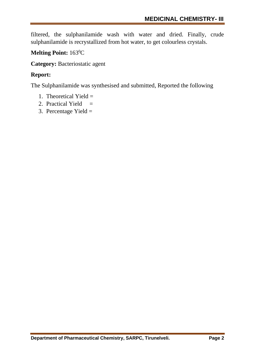filtered, the sulphanilamide wash with water and dried. Finally, crude sulphanilamide is recrystallized from hot water, to get colourless crystals.

# **Melting Point:** 163<sup>0</sup>C

**Category:** Bacteriostatic agent

## **Report:**

The Sulphanilamide was synthesised and submitted, Reported the following

- 1. Theoretical Yield  $=$
- 2. Practical Yield  $=$
- 3. Percentage Yield  $=$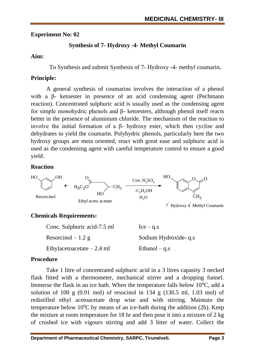# **Synthesis of 7- Hydroxy -4- Methyl Coumarin**

## **Aim:**

To Synthesis and submit Synthesis of 7- Hydroxy -4- methyl coumarin**.**

# **Principle:**

A general synthesis of coumarins involves the interaction of a phenol with a β- ketoester in presence of an acid condensing agent (Pechmann reaction). Concentrated sulphuric acid is usually used as the condensing agent for simple monohydric phenols and β- ketoesters, although phenol itself reacts better in the presence of aluminium chloride. The mechanism of the reaction to involve the initial formation of a β- hydroxy ester, which then cyclise and dehydrates to yield the coumarin. Polyhydric phenols, particularly here the two hydroxy groups are meta oriented, react with great ease and sulphuric acid is used as the condensing agent with careful temperature control to ensure a good yield.

# **Reaction**



# **Chemicals Requirements:**

| Conc. Sulphuric acid-7.5 ml | $Ice - q.s$          |
|-----------------------------|----------------------|
| Resorcinol $-1.2$ g         | Sodium Hydroxide-q.s |
| Ethylacetoacetate $-2.4$ ml | Ethanol $-$ q.s      |

# **Procedure**

Take 1 litre of concentrated sulphuric acid in a 3 litres capasity 3 necked flask fitted with a thermometer, mechanical stirrer and a dropping funnel. Immerse the flask in an ice bath. When the temperature falls below  $10^{0}$ C, add a solution of 100 g  $(0.91 \text{ mol})$  of resocinol in 134 g  $(130.5 \text{ ml}, 1.03 \text{ mol})$  of redistilled ethyl acetoacetate drop wise and with stirring. Maintain the temperature below  $10^{0}$ C by means of an ice-bath during the addition (2h). Keep the mixture at room temperature for 18 hr and then pour it into a mixture of 2 kg of crushed ice with vigours stirring and add 3 litter of water. Collect the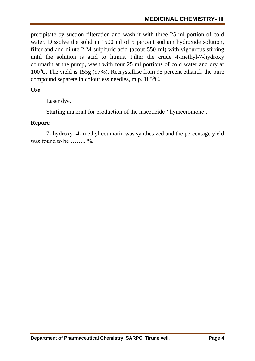precipitate by suction filteration and wash it with three 25 ml portion of cold water. Dissolve the solid in 1500 ml of 5 percent sodium hydroxide solution, filter and add dilute 2 M sulphuric acid (about 550 ml) with vigourous stirring until the solution is acid to litmus. Filter the crude 4-methyl-7-hydroxy coumarin at the pump, wash with four 25 ml portions of cold water and dry at 100 $^{\circ}$ C. The yield is 155g (97%). Recrystallise from 95 percent ethanol: the pure compound separete in colourless needles, m.p. 185<sup>0</sup>C.

**Use** 

Laser dye.

Starting material for production of the insecticide ' hymecromone'.

#### **Report:**

7- hydroxy -4- methyl coumarin was synthesized and the percentage yield was found to be  $\dots \dots$  %.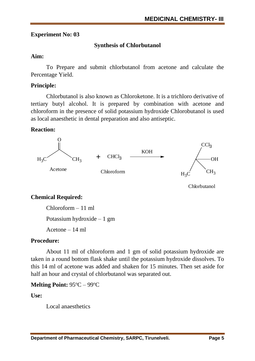# **Synthesis of Chlorbutanol**

### **Aim:**

To Prepare and submit chlorbutanol from acetone and calculate the Percentage Yield.

## **Principle:**

Chlorbutanol is also known as Chloroketone. It is a trichloro derivative of tertiary butyl alcohol. It is prepared by combination with acetone and chloroform in the presence of solid potassium hydroxide Chlorobutanol is used as local anaesthetic in dental preparation and also antiseptic.

#### **Reaction:**



Chlorbutanol

# **Chemical Required:**

Chloroform – 11 ml

Potassium hydroxide – 1 gm

Acetone – 14 ml

# **Procedure:**

About 11 ml of chloroform and 1 gm of solid potassium hydroxide are taken in a round bottom flask shake until the potassium hydroxide dissolves. To this 14 ml of acetone was added and shaken for 15 minutes. Then set aside for half an hour and crystal of chlorbutanol was separated out.

# **Melting Point: 95 °C – 99 °C**

**Use:**

Local anaesthetics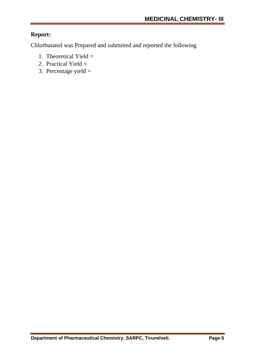# **Report:**

Chlorbutanol was Prepared and submitted and reported the following

- 1. Theoretical Yield  $=$
- 2. Practical Yield  $=$
- 3. Percentage yield  $=$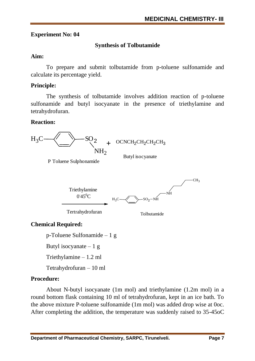# **Synthesis of Tolbutamide**

# **Aim:**

To prepare and submit tolbutamide from p-toluene sulfonamide and calculate its percentage yield.

# **Principle:**

The synthesis of tolbutamide involves addition reaction of p-toluene sulfonamide and butyl isocyanate in the presence of triethylamine and tetrahydrofuran.

# **Reaction:**



Tetrahydrofuran – 10 ml

# **Procedure:**

About N-butyl isocyanate (1m mol) and triethylamine (1.2m mol) in a round bottom flask containing 10 ml of tetrahydrofuran, kept in an ice bath. To the above mixture P-toluene sulfonamide (1m mol) was added drop wise at 0oc. After completing the addition, the temperature was suddenly raised to 35-45oC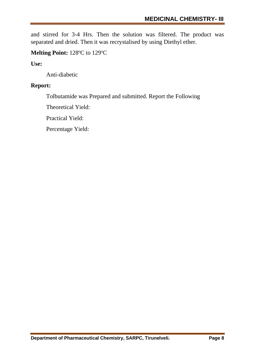and stirred for 3-4 Hrs. Then the solution was filtered. The product was separated and dried. Then it was recrystalised by using Diethyl ether.

## **Melting Point:** 128°C to 129°C

**Use:**

Anti-diabetic

## **Report:**

Tolbutamide was Prepared and submitted. Report the Following

Theoretical Yield:

Practical Yield:

Percentage Yield: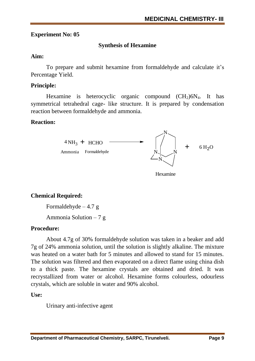# **Synthesis of Hexamine**

#### **Aim:**

To prepare and submit hexamine from formaldehyde and calculate it's Percentage Yield.

# **Principle:**

Hexamine is heterocyclic organic compound  $(CH<sub>2</sub>)6N<sub>4</sub>$ . It has symmetrical tetrahedral cage- like structure. It is prepared by condensation reaction between formaldehyde and ammonia.

## **Reaction:**



# **Chemical Required:**

Formaldehyde  $-4.7 g$ 

Ammonia Solution  $-7 g$ 

# **Procedure:**

About 4.7g of 30% formaldehyde solution was taken in a beaker and add 7g of 24% ammonia solution, until the solution is slightly alkaline. The mixture was heated on a water bath for 5 minutes and allowed to stand for 15 minutes. The solution was filtered and then evaporated on a direct flame using china dish to a thick paste. The hexamine crystals are obtained and dried. It was recrystallized from water or alcohol. Hexamine forms colourless, odourless crystals, which are soluble in water and 90% alcohol.

**Use:**

Urinary anti-infective agent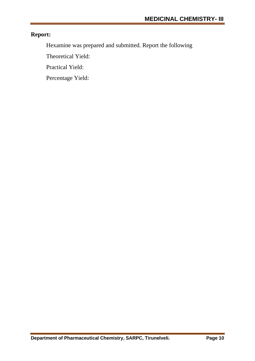# **Report:**

Hexamine was prepared and submitted. Report the following

Theoretical Yield:

Practical Yield:

Percentage Yield: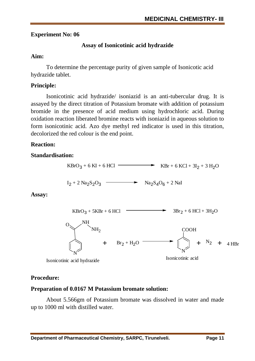# **Assay of Isonicotinic acid hydrazide**

## **Aim:**

To determine the percentage purity of given sample of Isonicotic acid hydrazide tablet.

# **Principle:**

Isonicotinic acid hydrazide/ isoniazid is an anti-tubercular drug. It is assayed by the direct titration of Potassium bromate with addition of potassium bromide in the presence of acid medium using hydrochloric acid. During oxidation reaction liberated bromine reacts with isoniazid in aqueous solution to form isonicotinic acid. Azo dye methyl red indicator is used in this titration, decolorized the red colour is the end point.

# **Reaction:**

## **Standardisation:**



# **Procedure:**

# **Preparation of 0.0167 M Potassium bromate solution:**

About 5.566gm of Potassium bromate was dissolved in water and made up to 1000 ml with distilled water.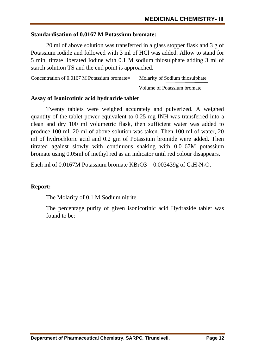#### **Standardisation of 0.0167 M Potassium bromate:**

20 ml of above solution was transferred in a glass stopper flask and 3 g of Potassium iodide and followed with 3 ml of HCl was added. Allow to stand for 5 min, titrate liberated Iodine with 0.1 M sodium thiosulphate adding 3 ml of starch solution TS and the end point is approached.

Concentration of 0.0167 M Potassium bromate= Molarity of Sodium thiosulphate

Volume of Potassium bromate

#### **Assay of Isonicotinic acid hydrazide tablet**

Twenty tablets were weighed accurately and pulverized. A weighed quantity of the tablet power equivalent to 0.25 mg INH was transferred into a clean and dry 100 ml volumetric flask, then sufficient water was added to produce 100 ml. 20 ml of above solution was taken. Then 100 ml of water, 20 ml of hydrochloric acid and 0.2 gm of Potassium bromide were added. Then titrated against slowly with continuous shaking with 0.0167M potassium bromate using 0.05ml of methyl red as an indicator until red colour disappears.

Each ml of 0.0167M Potassium bromate KBrO3 =  $0.003439g$  of C<sub>6</sub>H<sub>7</sub>N<sub>3</sub>O.

#### **Report:**

The Molarity of 0.1 M Sodium nitrite

The percentage purity of given isonicotinic acid Hydrazide tablet was found to be: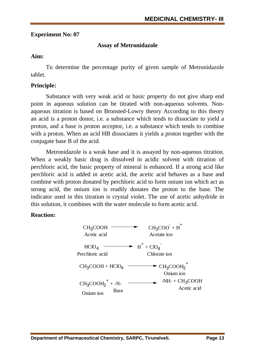## **Assay of Metronidazole**

## **Aim:**

To determine the percentage purity of given sample of Metronidazole tablet.

## **Principle:**

Substance with very weak acid or basic property do not give sharp end point in aqueous solution can be titrated with non-aqueous solvents. Nonaqueous titration is based on Bronsted-Lowry theory According to this theory an acid is a proton donor, i.e. a substance which tends to dissociate to yield a proton, and a base is proton acceptor, i.e. a substance which tends to combine with a proton. When an acid HB dissociates it yields a proton together with the conjugate base B of the acid.

Metronidazole is a weak base and it is assayed by non-aqueous titration. When a weakly basic drug is dissolved in acidic solvent with titration of perchloric acid, the basic property of mineral is enhanced. If a strong acid like perchloric acid is added in acetic acid, the acetic acid behaves as a base and combine with proton donated by perchloric acid to form onium ion which act as strong acid, the onium ion is readily donates the proton to the base. The indicator used in this titration is crystal violet. The use of acetic anhydride in this solution, it combines with the water molecule to form acetic acid.

# **Reaction:**

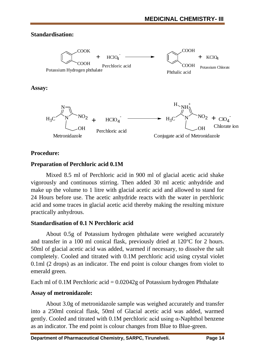## **Standardisation:**



## **Procedure:**

## **Preparation of Perchloric acid 0.1M**

Mixed 8.5 ml of Perchloric acid in 900 ml of glacial acetic acid shake vigorously and continuous stirring. Then added 30 ml acetic anhydride and make up the volume to 1 litre with glacial acetic acid and allowed to stand for 24 Hours before use. The acetic anhydride reacts with the water in perchloric acid and some traces in glacial acetic acid thereby making the resulting mixture practically anhydrous.

#### **Standardisation of 0.1 N Perchloric acid**

About 0.5g of Potassium hydrogen phthalate were weighed accurately and transfer in a 100 ml conical flask, previously dried at  $120^{\circ}$ C for 2 hours. 50ml of glacial acetic acid was added, warmed if necessary, to dissolve the salt completely. Cooled and titrated with 0.1M perchloric acid using crystal violet 0.1ml (2 drops) as an indicator. The end point is colour changes from violet to emerald green.

Each ml of 0.1M Perchloric acid = 0.02042g of Potassium hydrogen Phthalate

# **Assay of metronidazole:**

About 3.0g of metronidazole sample was weighed accurately and transfer into a 250ml conical flask, 50ml of Glacial acetic acid was added, warmed gently. Cooled and titrated with 0.1M perchloric acid using α-Naphthol benzene as an indicator. The end point is colour changes from Blue to Blue-green.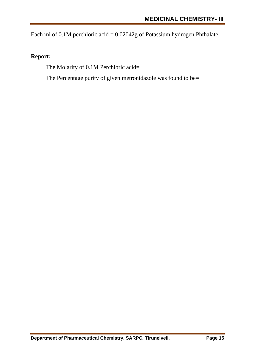Each ml of  $0.1M$  perchloric acid =  $0.02042g$  of Potassium hydrogen Phthalate.

# **Report:**

The Molarity of 0.1M Perchloric acid=

The Percentage purity of given metronidazole was found to be=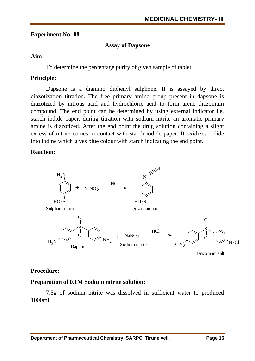#### **Assay of Dapsone**

#### **Aim:**

To determine the percentage purity of given sample of tablet.

## **Principle:**

Dapsone is a diamino diphenyl sulphone. It is assayed by direct diazotization titration. The free primary amino group present in dapsone is diazotized by nitrous acid and hydrochloric acid to form arene diazonium compound. The end point can be determined by using external indicator i.e. starch iodide paper, during titration with sodium nitrite an aromatic primary amine is diazotized. After the end point the drug solution containing a slight excess of nitrite comes in contact with starch iodide paper. It oxidizes iodide into iodine which gives blue colour with starch indicating the end point.

## **Reaction:**



Diazonium salt

#### **Procedure:**

#### **Preparation of 0.1M Sodium nitrite solution:**

7.5g of sodium nitrite was dissolved in sufficient water to produced 1000ml.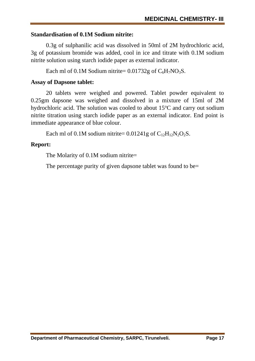## **Standardisation of 0.1M Sodium nitrite:**

0.3g of sulphanilic acid was dissolved in 50ml of 2M hydrochloric acid, 3g of potassium bromide was added, cool in ice and titrate with 0.1M sodium nitrite solution using starch iodide paper as external indicator.

Each ml of 0.1M Sodium nitrite=  $0.01732g$  of  $C_6H_7NO_3S$ .

# **Assay of Dapsone tablet:**

20 tablets were weighed and powered. Tablet powder equivalent to 0.25gm dapsone was weighed and dissolved in a mixture of 15ml of 2M hydrochloric acid. The solution was cooled to about  $15^{\circ}$ C and carry out sodium nitrite titration using starch iodide paper as an external indicator. End point is immediate appearance of blue colour.

Each ml of 0.1M sodium nitrite=  $0.01241g$  of  $C_{12}H_{12}N_2O_2S$ .

# **Report:**

The Molarity of 0.1M sodium nitrite=

The percentage purity of given dapsone tablet was found to be=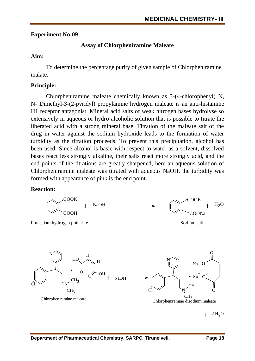## **Assay of Chlorpheniramine Maleate**

#### **Aim:**

To determine the percentage purity of given sample of Chlorpheniramine malate.

## **Principle:**

Chlorpheniramine maleate chemically known as 3-(4-chlorophenyl) N, N- Dimethyl-3-(2-pyridyl) propylamine hydrogen maleate is an anti-histamine H1 receptor antagonist. Mineral acid salts of weak nitrogen bases hydrolyse so extensively in aqueous or hydro-alcoholic solution that is possible to titrate the liberated acid with a strong mineral base. Titration of the maleate salt of the drug in water against the sodium hydroxide leads to the formation of water turbidity as the titration proceeds. To prevent this precipitation, alcohol has been used. Since alcohol is basic with respect to water as a solvent, dissolved bases react less strongly alkaline, their salts react more strongly acid, and the end points of the titrations are greatly sharpened, here an aqueous solution of Chlorpheniramine maleate was titrated with aqueous NaOH, the turbidity was formed with appearance of pink is the end point.

#### **Reaction:**



 $+$  <sup>2H<sub>2</sub>O</sup>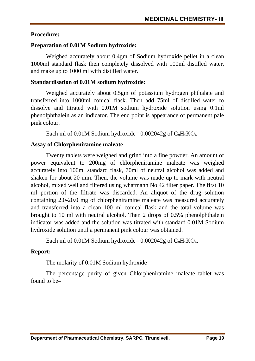### **Procedure:**

# **Preparation of 0.01M Sodium hydroxide:**

Weighed accurately about 0.4gm of Sodium hydroxide pellet in a clean 1000ml standard flask then completely dissolved with 100ml distilled water, and make up to 1000 ml with distilled water.

## **Standardisation of 0.01M sodium hydroxide:**

Weighed accurately about 0.5gm of potassium hydrogen phthalate and transferred into 1000ml conical flask. Then add 75ml of distilled water to dissolve and titrated with 0.01M sodium hydroxide solution using 0.1ml phenolphthalein as an indicator. The end point is appearance of permanent pale pink colour.

Each ml of  $0.01M$  Sodium hydroxide=  $0.002042g$  of  $C_8H_5KO_4$ 

# **Assay of Chlorpheniramine maleate**

Twenty tablets were weighed and grind into a fine powder. An amount of power equivalent to 200mg of chlorpheniramine maleate was weighed accurately into 100ml standard flask, 70ml of neutral alcohol was added and shaken for about 20 min. Then, the volume was made up to mark with neutral alcohol, mixed well and filtered using whatmann No 42 filter paper. The first 10 ml portion of the filtrate was discarded. An aliquot of the drug solution containing 2.0-20.0 mg of chlorpheniramine maleate was measured accurately and transferred into a clean 100 ml conical flask and the total volume was brought to 10 ml with neutral alcohol. Then 2 drops of 0.5% phenolphthalein indicator was added and the solution was titrated with standard 0.01M Sodium hydroxide solution until a permanent pink colour was obtained.

```
Each ml of 0.01M Sodium hydroxide= 0.002042g of C_8H_5KO_4.
```
# **Report:**

The molarity of 0.01M Sodium hydroxide=

The percentage purity of given Chlorpheniramine maleate tablet was found to be $=$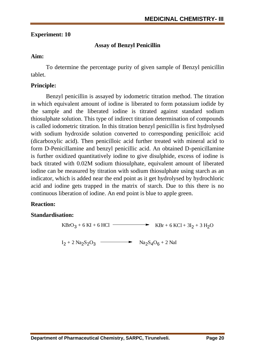## **Experiment: 10**

## **Assay of Benzyl Penicillin**

#### **Aim:**

To determine the percentage purity of given sample of Benzyl penicillin tablet.

#### **Principle:**

Benzyl penicillin is assayed by iodometric titration method. The titration in which equivalent amount of iodine is liberated to form potassium iodide by the sample and the liberated iodine is titrated against standard sodium thiosulphate solution. This type of indirect titration determination of compounds is called iodometric titration. In this titration benzyl penicillin is first hydrolysed with sodium hydroxide solution converted to corresponding penicilloic acid (dicarboxylic acid). Then penicilloic acid further treated with mineral acid to form D-Penicillamine and benzyl penicillic acid. An obtained D-penicillamine is further oxidized quantitatively iodine to give disulphide, excess of iodine is back titrated with 0.02M sodium thiosulphate, equivalent amount of liberated iodine can be measured by titration with sodium thiosulphate using starch as an indicator, which is added near the end point as it get hydrolysed by hydrochloric acid and iodine gets trapped in the matrix of starch. Due to this there is no continuous liberation of iodine. An end point is blue to apple green.

#### **Reaction:**

#### **Standardisation:**

$$
KBrO3 + 6 KI + 6 HCl \longrightarrow KBr + 6 KCl + 3I2 + 3 H2O
$$

 $I_2 + 2 \text{ Na}_2\text{S}_2\text{O}_3$   $\longrightarrow$   $\text{Na}_2\text{S}_4\text{O}_6 + 2 \text{ Na}$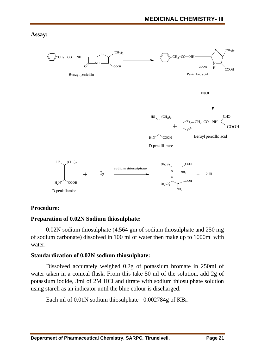**Assay:**



#### **Procedure:**

#### **Preparation of 0.02N Sodium thiosulphate:**

0.02N sodium thiosulphate (4.564 gm of sodium thiosulphate and 250 mg of sodium carbonate) dissolved in 100 ml of water then make up to 1000ml with water.

#### **Standardization of 0.02N sodium thiosulphate:**

Dissolved accurately weighed 0.2g of potassium bromate in 250ml of water taken in a conical flask. From this take 50 ml of the solution, add 2g of potassium iodide, 3ml of 2M HCl and titrate with sodium thiosulphate solution using starch as an indicator until the blue colour is discharged.

Each ml of  $0.01N$  sodium thiosulphate=  $0.002784g$  of KBr.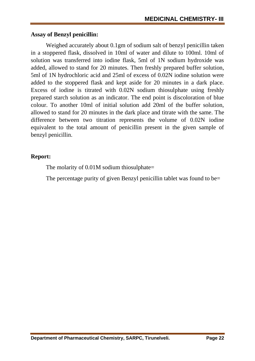#### **Assay of Benzyl penicillin:**

Weighed accurately about 0.1gm of sodium salt of benzyl penicillin taken in a stoppered flask, dissolved in 10ml of water and dilute to 100ml. 10ml of solution was transferred into iodine flask, 5ml of 1N sodium hydroxide was added, allowed to stand for 20 minutes. Then freshly prepared buffer solution, 5ml of 1N hydrochloric acid and 25ml of excess of 0.02N iodine solution were added to the stoppered flask and kept aside for 20 minutes in a dark place. Excess of iodine is titrated with 0.02N sodium thiosulphate using freshly prepared starch solution as an indicator. The end point is discoloration of blue colour. To another 10ml of initial solution add 20ml of the buffer solution, allowed to stand for 20 minutes in the dark place and titrate with the same. The difference between two titration represents the volume of 0.02N iodine equivalent to the total amount of penicillin present in the given sample of benzyl penicillin.

#### **Report:**

The molarity of 0.01M sodium thiosulphate=

The percentage purity of given Benzyl penicillin tablet was found to be=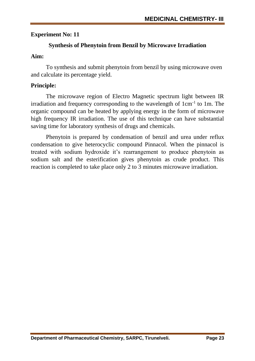## **Synthesis of Phenytoin from Benzil by Microwave Irradiation**

## **Aim:**

To synthesis and submit phenytoin from benzil by using microwave oven and calculate its percentage yield.

# **Principle:**

The microwave region of Electro Magnetic spectrum light between IR irradiation and frequency corresponding to the wavelength of  $1 \text{cm}^{-1}$  to  $1 \text{m}$ . The organic compound can be heated by applying energy in the form of microwave high frequency IR irradiation. The use of this technique can have substantial saving time for laboratory synthesis of drugs and chemicals.

Phenytoin is prepared by condensation of benzil and urea under reflux condensation to give heterocyclic compound Pinnacol. When the pinnacol is treated with sodium hydroxide it's rearrangement to produce phenytoin as sodium salt and the esterification gives phenytoin as crude product. This reaction is completed to take place only 2 to 3 minutes microwave irradiation.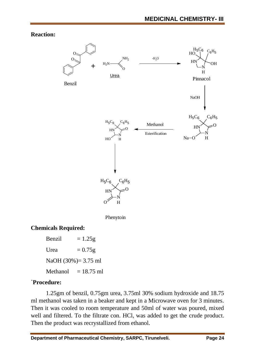**Reaction:**



# **Chemicals Required:**

Benzil  $= 1.25g$ Urea  $= 0.75g$ NaOH (30%)= 3.75 ml Methanol  $= 18.75$  ml

#### `**Procedure:**

1.25gm of benzil, 0.75gm urea, 3.75ml 30% sodium hydroxide and 18.75 ml methanol was taken in a beaker and kept in a Microwave oven for 3 minutes. Then it was cooled to room temperature and 50ml of water was poured, mixed well and filtered. To the filtrate con. HCl, was added to get the crude product. Then the product was recrystallized from ethanol.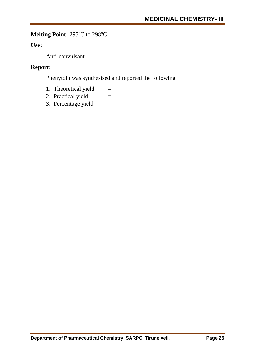# **Melting Point: 295°C to 298°C**

## **Use:**

Anti-convulsant

#### **Report:**

Phenytoin was synthesised and reported the following

- 1. Theoretical yield  $=$
- 2. Practical yield  $=$
- 3. Percentage yield  $=$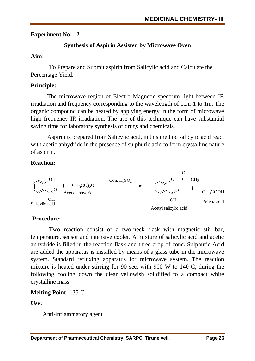# **Synthesis of Aspirin Assisted by Microwave Oven**

## **Aim:**

To Prepare and Submit aspirin from Salicylic acid and Calculate the Percentage Yield.

# **Principle:**

The microwave region of Electro Magnetic spectrum light between IR irradiation and frequency corresponding to the wavelength of 1cm-1 to 1m. The organic compound can be heated by applying energy in the form of microwave high frequency IR irradiation. The use of this technique can have substantial saving time for laboratory synthesis of drugs and chemicals.

Aspirin is prepared from Salicylic acid, in this method salicylic acid react with acetic anhydride in the presence of sulphuric acid to form crystalline nature of aspirin.

# **Reaction:**



# **Procedure:**

Two reaction consist of a two-neck flask with magnetic stir bar, temperature, sensor and intensive cooler. A mixture of salicylic acid and acetic anhydride is filled in the reaction flask and three drop of conc. Sulphuric Acid are added the apparatus is installed by means of a glass tube in the microwave system. Standard refluxing apparatus for microwave system. The reaction mixture is heated under stirring for 90 sec. with 900 W to 140 C, during the following cooling down the clear yellowish solidified to a compact white crystalline mass

# **Melting Point:** 135<sup>0</sup>C

**Use:**

Anti-inflammatory agent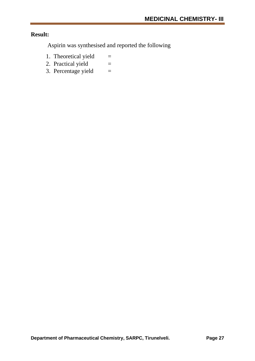## **Result:**

Aspirin was synthesised and reported the following

- 1. Theoretical yield  $=$
- 2. Practical yield  $=$
- 3. Percentage yield  $=$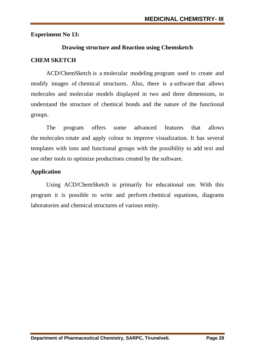## **Drawing structure and Reaction using Chemsketch**

# **CHEM SKETCH**

ACD/ChemSketch is a [molecular modeling](https://en.wikipedia.org/wiki/Molecular_modeling) program used to create and modify images of [chemical structures.](https://en.wikipedia.org/wiki/Chemical_structure) Also, there is a [software](https://en.wikipedia.org/wiki/Software) that allows molecules and molecular models displayed in two and three dimensions, to understand the structure of chemical bonds and the nature of the functional groups.

The program offers some advanced features that allows the [molecules](https://en.wikipedia.org/wiki/Molecule) rotate and apply colour to improve visualization. It has several templates with ions and functional groups with the possibility to add text and use other tools to optimize productions created by the software.

## **Application**

Using ACD/ChemSketch is primarily for educational use. With this program it is possible to write and perform [chemical equations,](https://en.wikipedia.org/wiki/Chemical_equations) diagrams laboratories and [chemical structures](https://en.wikipedia.org/wiki/Chemical_structure) of various entity.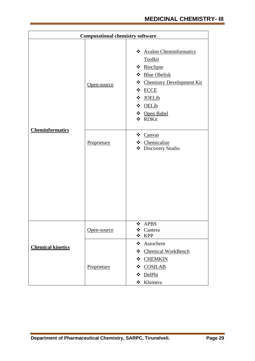| <b>Computational chemistry software</b> |             |                                                                                                                                                                           |
|-----------------------------------------|-------------|---------------------------------------------------------------------------------------------------------------------------------------------------------------------------|
|                                         | Open-source | * Avalon Cheminformatics<br>Toolkit<br>❖ Bioclipse<br>❖ Blue Obelisk<br>❖ Chemistry Development Kit<br>☆ ECCE<br>❖<br><b>JOELib</b><br>☆ OELib<br>❖ Open Babel<br>❖ RDKit |
| <b>Cheminformatics</b>                  | Proprietary | ❖ Canvas<br>❖ Chemicalize<br>❖<br>Discovery Studio                                                                                                                        |
|                                         | Open-source | $\div$ APBS<br>Cantera<br>❖<br>☆ KPP                                                                                                                                      |
| <b>Chemical kinetics</b>                | Proprietary | ❖ Autochem<br>❖ Chemical WorkBench<br><b>CHEMKIN</b><br>❖<br><b>COSILAB</b><br>❖<br>DelPhi<br>❖<br>❖ Khimera                                                              |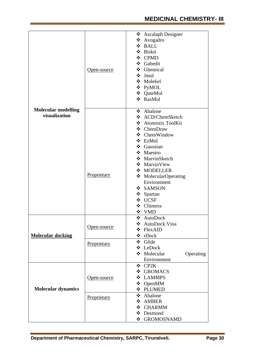|                            |                    | ❖ Ascalaph Designer      |  |
|----------------------------|--------------------|--------------------------|--|
|                            |                    | ❖ Avogadro               |  |
|                            |                    | $\div$ BALL              |  |
|                            |                    | ❖ Biskit                 |  |
|                            |                    | ❖ CPMD                   |  |
|                            |                    | ❖ Gabedit                |  |
|                            | Open-source        | ❖ Ghemical               |  |
|                            |                    | ❖ Jmol                   |  |
|                            |                    | ❖ Molekel                |  |
|                            |                    | ❖ PyMOL                  |  |
|                            | ❖ QuteMol          |                          |  |
|                            |                    | ❖ RasMol                 |  |
| <b>Molecular modelling</b> |                    | ❖ Abalone                |  |
| visualization              |                    | ❖ ACD/ChemSketch         |  |
|                            |                    | ❖ Atomistix ToolKit      |  |
|                            | ❖ ChemDraw         |                          |  |
|                            |                    | $\div$ ChemWindow        |  |
|                            |                    | ❖ EzMol                  |  |
|                            |                    | $\div$ Gaussian          |  |
|                            |                    | ❖ Maestro                |  |
|                            |                    | ❖ MarvinSketch           |  |
|                            |                    | ❖ MarvinView             |  |
|                            |                    | ❖ MODELLER               |  |
|                            | Proprietary        | ❖ MolecularOperating     |  |
|                            |                    | Environment              |  |
|                            |                    | ❖ SAMSON                 |  |
|                            |                    | ❖ Spartan                |  |
|                            |                    | ❖ UCSF                   |  |
|                            |                    | ❖ Chimera                |  |
|                            |                    | ❖ VMD                    |  |
|                            |                    | ❖ AutoDock               |  |
|                            | Open-source        | ❖ AutoDock Vina          |  |
|                            |                    | ❖ FlexAID                |  |
| <b>Molecular docking</b>   |                    | ❖ rDock                  |  |
|                            | Proprietary        | ❖ Glide                  |  |
|                            |                    | ❖ LeDock                 |  |
|                            |                    | ❖ Molecular<br>Operating |  |
|                            |                    | Environment              |  |
|                            |                    | ❖ CP2K                   |  |
|                            |                    | ❖ GROMACS                |  |
|                            | <u>Open-source</u> | ❖ LAMMPS                 |  |
|                            |                    | $\div$ OpenMM            |  |
| <b>Molecular dynamics</b>  |                    | ❖ PLUMED                 |  |
|                            | Proprietary        | ❖ Abalone                |  |
|                            |                    | ❖ AMBER                  |  |
|                            |                    | ❖ CHARMM                 |  |
|                            |                    | ❖ Desmond                |  |
|                            |                    | ❖ GROMOSNAMD             |  |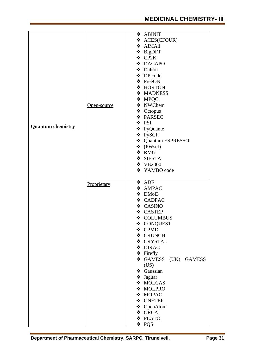|                          |             | ❖ ABINIT                |  |
|--------------------------|-------------|-------------------------|--|
|                          |             | ❖ ACES(CFOUR)           |  |
|                          |             | ❖ AIMAll                |  |
|                          |             | ❖ BigDFT                |  |
|                          |             | ❖ CP2K                  |  |
|                          |             | ❖ DACAPO                |  |
|                          |             | ❖ Dalton                |  |
|                          |             | ❖ DP code               |  |
|                          |             | ❖ FreeON                |  |
|                          |             |                         |  |
|                          |             | ❖ HORTON                |  |
|                          |             | ❖ MADNESS               |  |
|                          |             | ❖ MPQC                  |  |
|                          | Open-source | ❖ NWChem                |  |
|                          |             | ❖ Octopus               |  |
|                          |             | ❖ PARSEC                |  |
|                          |             | ❖ PSI                   |  |
| <b>Quantum chemistry</b> |             | ❖ PyQuante              |  |
|                          |             | ❖ PySCF                 |  |
|                          |             | ❖ Quantum ESPRESSO      |  |
|                          |             | $\triangleleft$ (PWscf) |  |
|                          |             | ❖ RMG                   |  |
|                          |             | ❖ SIESTA                |  |
|                          |             | ❖ VB2000                |  |
|                          |             |                         |  |
|                          |             | ❖ YAMBO code            |  |
|                          | Proprietary | ❖ ADF                   |  |
|                          |             | ❖ AMPAC                 |  |
|                          |             | ❖ DMol3                 |  |
|                          |             | ❖ CADPAC                |  |
|                          |             | ❖ CASINO                |  |
|                          |             | ❖ CASTEP                |  |
|                          |             | ❖ COLUMBUS              |  |
|                          |             | ❖ CONQUEST              |  |
|                          |             | ❖ CPMD                  |  |
|                          |             |                         |  |
|                          |             | ❖ CRUNCH                |  |
|                          |             | ❖ CRYSTAL               |  |
|                          |             | ❖ DIRAC                 |  |
|                          |             | ❖ Firefly               |  |
|                          |             | GAMESS (UK) GAMESS      |  |
|                          |             | (US)                    |  |
|                          |             | ❖ Gaussian              |  |
|                          |             | ❖ Jaguar                |  |
|                          |             | ❖ MOLCAS                |  |
|                          |             | ❖ MOLPRO                |  |
|                          |             | ❖ MOPAC                 |  |
|                          |             | ❖ ONETEP                |  |
|                          |             | ❖ OpenAtom              |  |
|                          |             | ❖ ORCA                  |  |
|                          |             | ❖ PLATO                 |  |
|                          |             |                         |  |
|                          |             | ❖ PQS                   |  |